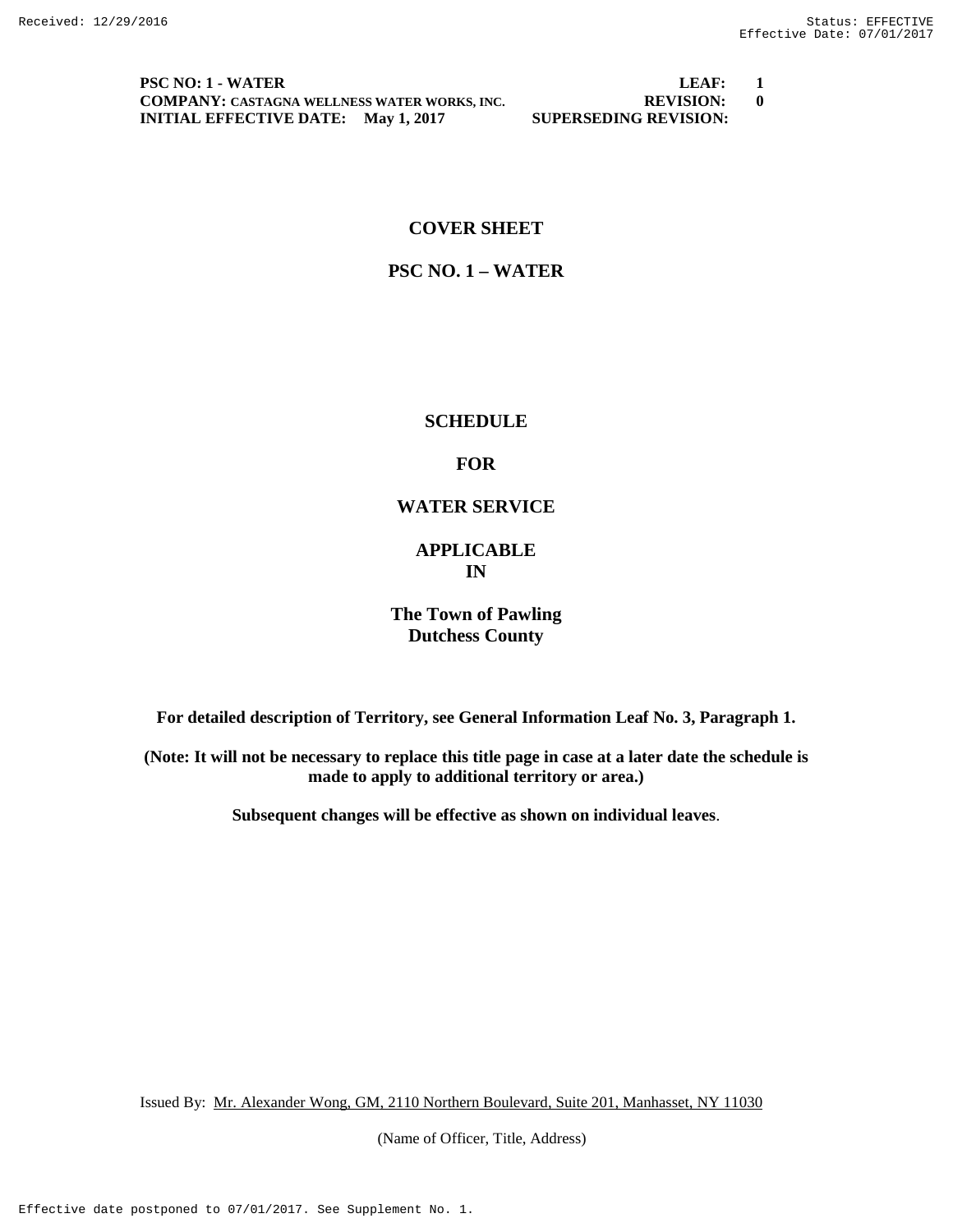**PSC NO: 1 - WATER LEAF: 1 COMPANY:** CASTAGNA WELLNESS WATER WORKS, INC. **REVISION: 0**<br> **INITIAL EFFECTIVE DATE:** May 1, 2017 **SUPERSEDING REVISION: INITIAL EFFECTIVE DATE:** May 1, 2017

# **COVER SHEET**

# **PSC NO. 1 – WATER**

# **SCHEDULE**

# **FOR**

# **WATER SERVICE**

# **APPLICABLE IN**

# **The Town of Pawling Dutchess County**

**For detailed description of Territory, see General Information Leaf No. 3, Paragraph 1.**

**(Note: It will not be necessary to replace this title page in case at a later date the schedule is made to apply to additional territory or area.)**

**Subsequent changes will be effective as shown on individual leaves**.

Issued By: Mr. Alexander Wong, GM, 2110 Northern Boulevard, Suite 201, Manhasset, NY 11030

(Name of Officer, Title, Address)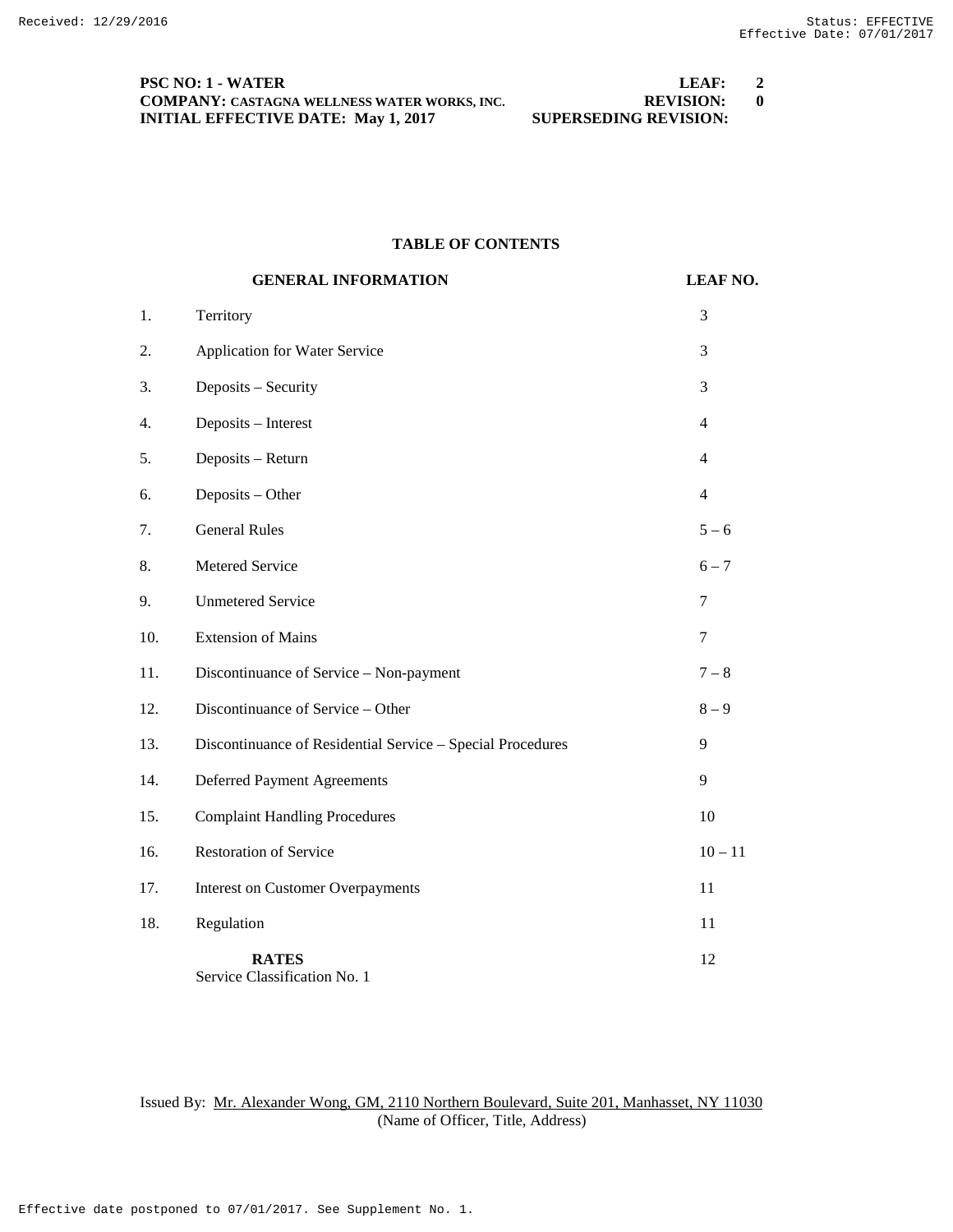### **PSC NO: 1 - WATER LEAF: 2 COMPANY:** CASTAGNA WELLNESS WATER WORKS, INC. **REVISION:** 0<br>**INITIAL EFFECTIVE DATE:** May 1, 2017 **SUPERSEDING REVISION: INITIAL EFFECTIVE DATE:** May 1, 2017

### **TABLE OF CONTENTS**

|     | <b>GENERAL INFORMATION</b>                                 | <b>LEAF NO.</b> |
|-----|------------------------------------------------------------|-----------------|
| 1.  | Territory                                                  | 3               |
| 2.  | <b>Application for Water Service</b>                       | 3               |
| 3.  | Deposits - Security                                        | 3               |
| 4.  | Deposits - Interest                                        | $\overline{4}$  |
| 5.  | Deposits - Return                                          | $\overline{4}$  |
| 6.  | Deposits - Other                                           | $\overline{4}$  |
| 7.  | <b>General Rules</b>                                       | $5 - 6$         |
| 8.  | Metered Service                                            | $6 - 7$         |
| 9.  | <b>Unmetered Service</b>                                   | 7               |
| 10. | <b>Extension of Mains</b>                                  | $\tau$          |
| 11. | Discontinuance of Service - Non-payment                    | $7-8$           |
| 12. | Discontinuance of Service - Other                          | $8-9$           |
| 13. | Discontinuance of Residential Service - Special Procedures | 9               |
| 14. | Deferred Payment Agreements                                | 9               |
| 15. | <b>Complaint Handling Procedures</b>                       | 10              |
| 16. | <b>Restoration of Service</b>                              | $10 - 11$       |
| 17. | <b>Interest on Customer Overpayments</b>                   | 11              |
| 18. | Regulation                                                 | 11              |
|     | <b>RATES</b>                                               | 12              |

Service Classification No. 1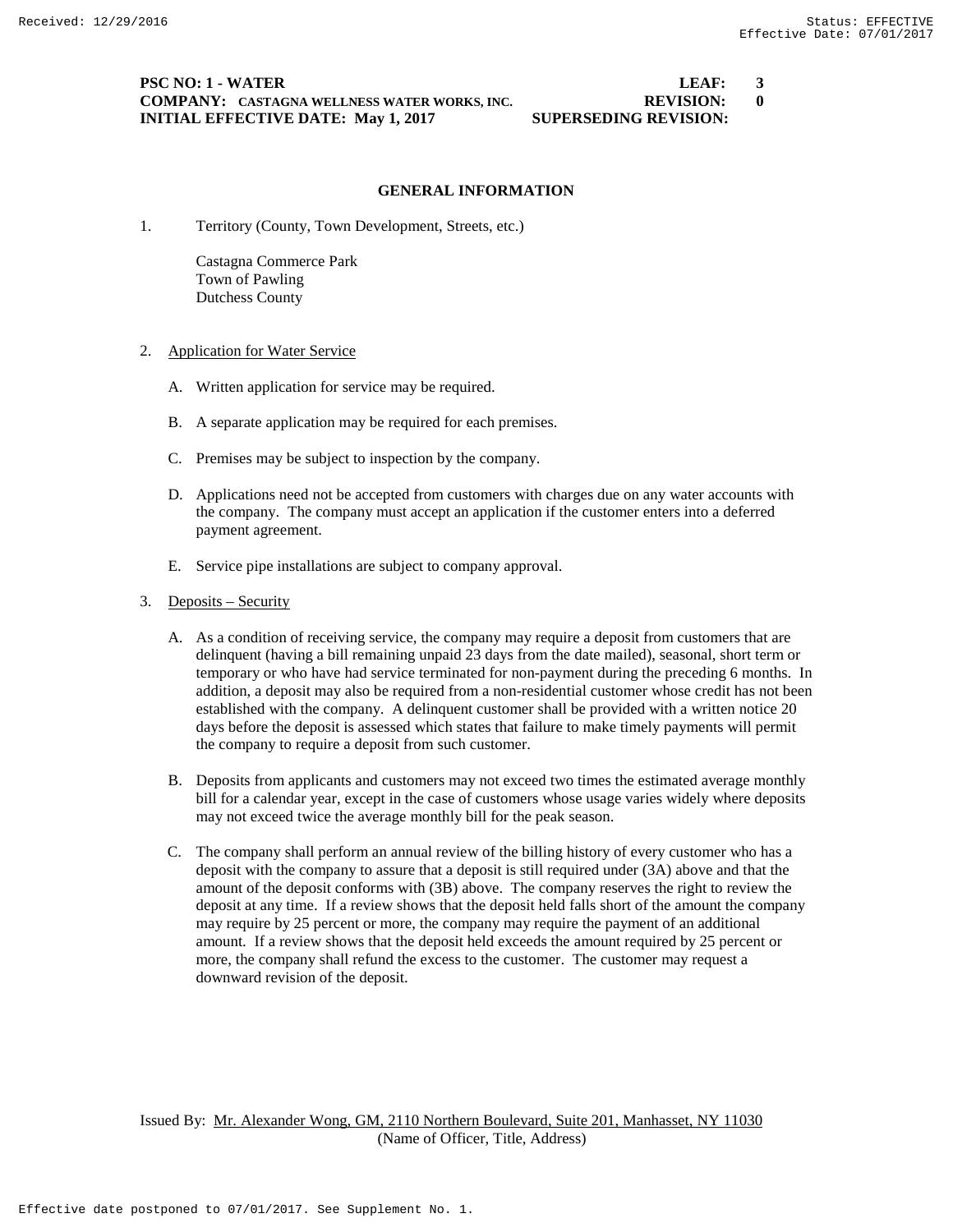### **PSC NO: 1 - WATER LEAF: 3 COMPANY: CASTAGNA WELLNESS WATER WORKS, INC. REVISION: 0 INITIAL EFFECTIVE DATE: May 1, 2017 SUPERSEDING REVISION:**

### **GENERAL INFORMATION**

1. Territory (County, Town Development, Streets, etc.)

Castagna Commerce Park Town of Pawling Dutchess County

- 2. Application for Water Service
	- A. Written application for service may be required.
	- B. A separate application may be required for each premises.
	- C. Premises may be subject to inspection by the company.
	- D. Applications need not be accepted from customers with charges due on any water accounts with the company. The company must accept an application if the customer enters into a deferred payment agreement.
	- E. Service pipe installations are subject to company approval.
- 3. Deposits Security
	- A. As a condition of receiving service, the company may require a deposit from customers that are delinquent (having a bill remaining unpaid 23 days from the date mailed), seasonal, short term or temporary or who have had service terminated for non-payment during the preceding 6 months. In addition, a deposit may also be required from a non-residential customer whose credit has not been established with the company. A delinquent customer shall be provided with a written notice 20 days before the deposit is assessed which states that failure to make timely payments will permit the company to require a deposit from such customer.
	- B. Deposits from applicants and customers may not exceed two times the estimated average monthly bill for a calendar year, except in the case of customers whose usage varies widely where deposits may not exceed twice the average monthly bill for the peak season.
	- C. The company shall perform an annual review of the billing history of every customer who has a deposit with the company to assure that a deposit is still required under (3A) above and that the amount of the deposit conforms with (3B) above. The company reserves the right to review the deposit at any time. If a review shows that the deposit held falls short of the amount the company may require by 25 percent or more, the company may require the payment of an additional amount. If a review shows that the deposit held exceeds the amount required by 25 percent or more, the company shall refund the excess to the customer. The customer may request a downward revision of the deposit.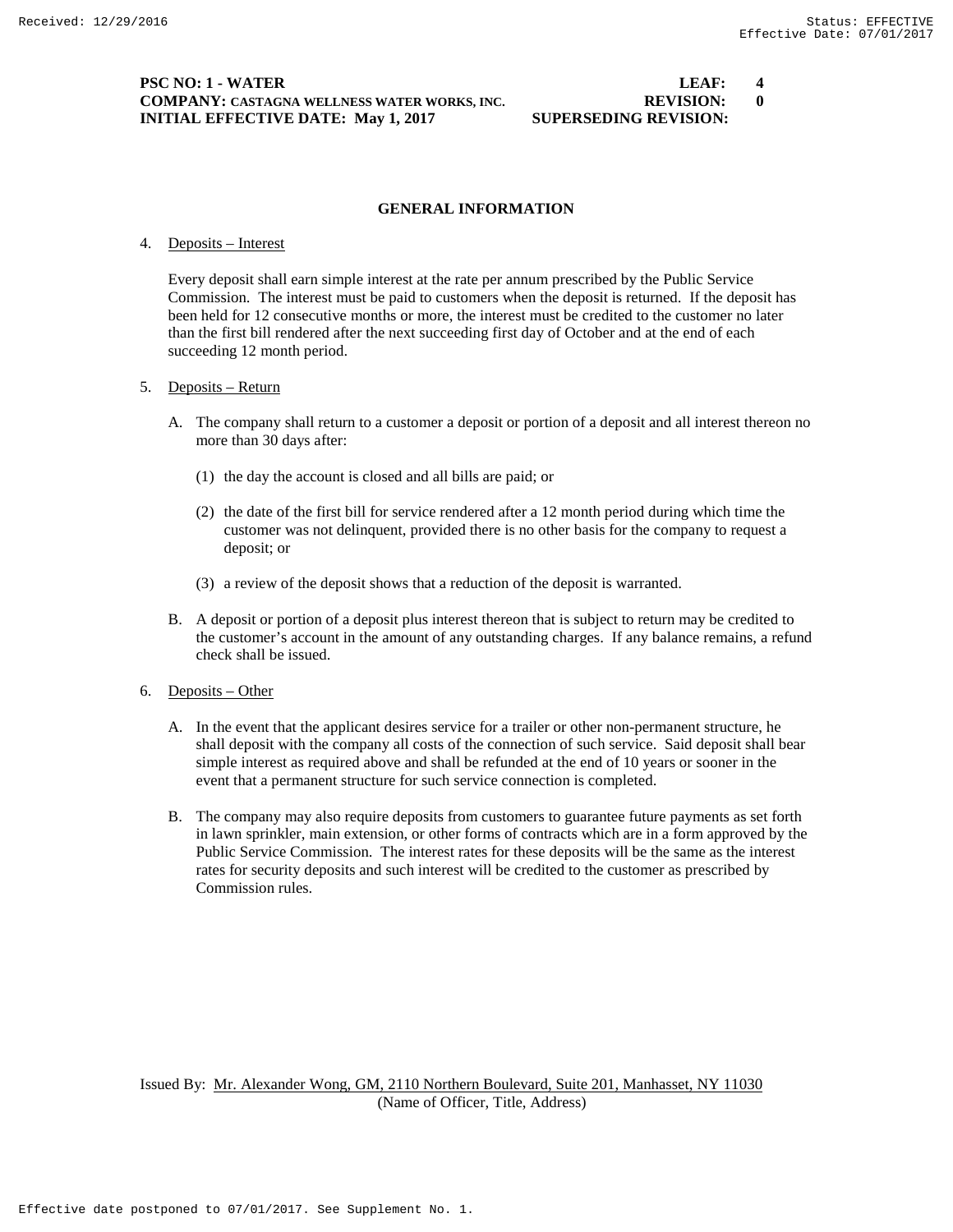#### **PSC NO: 1 - WATER LEAF: 4 COMPANY: CASTAGNA WELLNESS WATER WORKS, INC. REVISION: 0 INITIAL EFFECTIVE DATE: May 1, 2017 SUPERSEDING REVISION:**

#### **GENERAL INFORMATION**

#### 4. Deposits – Interest

Every deposit shall earn simple interest at the rate per annum prescribed by the Public Service Commission. The interest must be paid to customers when the deposit is returned. If the deposit has been held for 12 consecutive months or more, the interest must be credited to the customer no later than the first bill rendered after the next succeeding first day of October and at the end of each succeeding 12 month period.

#### 5. Deposits – Return

- A. The company shall return to a customer a deposit or portion of a deposit and all interest thereon no more than 30 days after:
	- (1) the day the account is closed and all bills are paid; or
	- (2) the date of the first bill for service rendered after a 12 month period during which time the customer was not delinquent, provided there is no other basis for the company to request a deposit; or
	- (3) a review of the deposit shows that a reduction of the deposit is warranted.
- B. A deposit or portion of a deposit plus interest thereon that is subject to return may be credited to the customer's account in the amount of any outstanding charges. If any balance remains, a refund check shall be issued.
- 6. Deposits Other
	- A. In the event that the applicant desires service for a trailer or other non-permanent structure, he shall deposit with the company all costs of the connection of such service. Said deposit shall bear simple interest as required above and shall be refunded at the end of 10 years or sooner in the event that a permanent structure for such service connection is completed.
	- B. The company may also require deposits from customers to guarantee future payments as set forth in lawn sprinkler, main extension, or other forms of contracts which are in a form approved by the Public Service Commission. The interest rates for these deposits will be the same as the interest rates for security deposits and such interest will be credited to the customer as prescribed by Commission rules.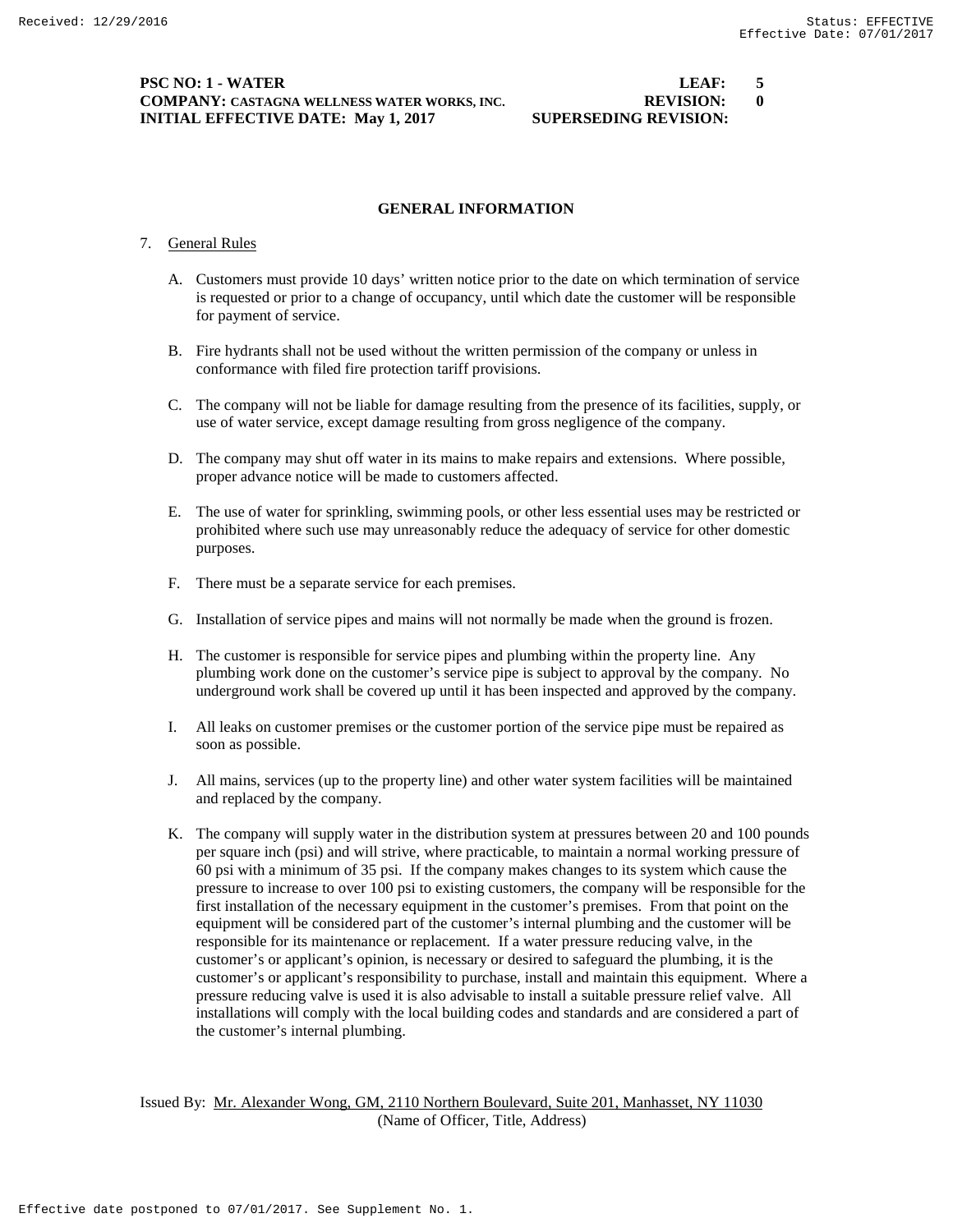#### **PSC NO: 1 - WATER LEAF: 5 COMPANY: CASTAGNA WELLNESS WATER WORKS, INC. REVISION: 0 INITIAL EFFECTIVE DATE: May 1, 2017 SUPERSEDING REVISION:**

#### **GENERAL INFORMATION**

#### 7. General Rules

- A. Customers must provide 10 days' written notice prior to the date on which termination of service is requested or prior to a change of occupancy, until which date the customer will be responsible for payment of service.
- B. Fire hydrants shall not be used without the written permission of the company or unless in conformance with filed fire protection tariff provisions.
- C. The company will not be liable for damage resulting from the presence of its facilities, supply, or use of water service, except damage resulting from gross negligence of the company.
- D. The company may shut off water in its mains to make repairs and extensions. Where possible, proper advance notice will be made to customers affected.
- E. The use of water for sprinkling, swimming pools, or other less essential uses may be restricted or prohibited where such use may unreasonably reduce the adequacy of service for other domestic purposes.
- F. There must be a separate service for each premises.
- G. Installation of service pipes and mains will not normally be made when the ground is frozen.
- H. The customer is responsible for service pipes and plumbing within the property line. Any plumbing work done on the customer's service pipe is subject to approval by the company. No underground work shall be covered up until it has been inspected and approved by the company.
- I. All leaks on customer premises or the customer portion of the service pipe must be repaired as soon as possible.
- J. All mains, services (up to the property line) and other water system facilities will be maintained and replaced by the company.
- K. The company will supply water in the distribution system at pressures between 20 and 100 pounds per square inch (psi) and will strive, where practicable, to maintain a normal working pressure of 60 psi with a minimum of 35 psi. If the company makes changes to its system which cause the pressure to increase to over 100 psi to existing customers, the company will be responsible for the first installation of the necessary equipment in the customer's premises. From that point on the equipment will be considered part of the customer's internal plumbing and the customer will be responsible for its maintenance or replacement. If a water pressure reducing valve, in the customer's or applicant's opinion, is necessary or desired to safeguard the plumbing, it is the customer's or applicant's responsibility to purchase, install and maintain this equipment. Where a pressure reducing valve is used it is also advisable to install a suitable pressure relief valve. All installations will comply with the local building codes and standards and are considered a part of the customer's internal plumbing.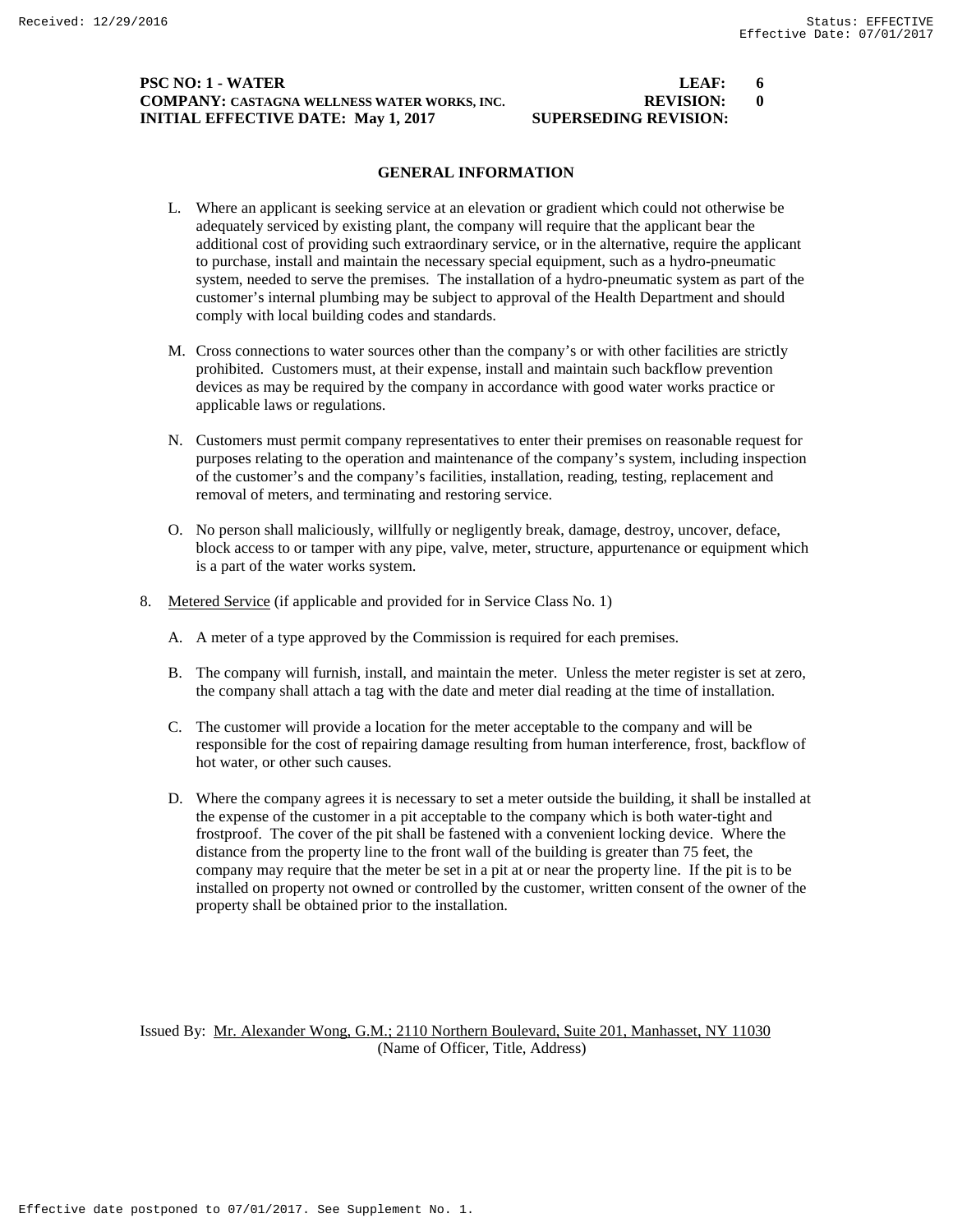### **PSC NO: 1 - WATER LEAF: 6 COMPANY: CASTAGNA WELLNESS WATER WORKS, INC. REVISION: 0 INITIAL EFFECTIVE DATE: May 1, 2017 SUPERSEDING REVISION:**

# **GENERAL INFORMATION**

- L. Where an applicant is seeking service at an elevation or gradient which could not otherwise be adequately serviced by existing plant, the company will require that the applicant bear the additional cost of providing such extraordinary service, or in the alternative, require the applicant to purchase, install and maintain the necessary special equipment, such as a hydro-pneumatic system, needed to serve the premises. The installation of a hydro-pneumatic system as part of the customer's internal plumbing may be subject to approval of the Health Department and should comply with local building codes and standards.
- M. Cross connections to water sources other than the company's or with other facilities are strictly prohibited. Customers must, at their expense, install and maintain such backflow prevention devices as may be required by the company in accordance with good water works practice or applicable laws or regulations.
- N. Customers must permit company representatives to enter their premises on reasonable request for purposes relating to the operation and maintenance of the company's system, including inspection of the customer's and the company's facilities, installation, reading, testing, replacement and removal of meters, and terminating and restoring service.
- O. No person shall maliciously, willfully or negligently break, damage, destroy, uncover, deface, block access to or tamper with any pipe, valve, meter, structure, appurtenance or equipment which is a part of the water works system.
- 8. Metered Service (if applicable and provided for in Service Class No. 1)
	- A. A meter of a type approved by the Commission is required for each premises.
	- B. The company will furnish, install, and maintain the meter. Unless the meter register is set at zero, the company shall attach a tag with the date and meter dial reading at the time of installation.
	- C. The customer will provide a location for the meter acceptable to the company and will be responsible for the cost of repairing damage resulting from human interference, frost, backflow of hot water, or other such causes.
	- D. Where the company agrees it is necessary to set a meter outside the building, it shall be installed at the expense of the customer in a pit acceptable to the company which is both water-tight and frostproof. The cover of the pit shall be fastened with a convenient locking device. Where the distance from the property line to the front wall of the building is greater than 75 feet, the company may require that the meter be set in a pit at or near the property line. If the pit is to be installed on property not owned or controlled by the customer, written consent of the owner of the property shall be obtained prior to the installation.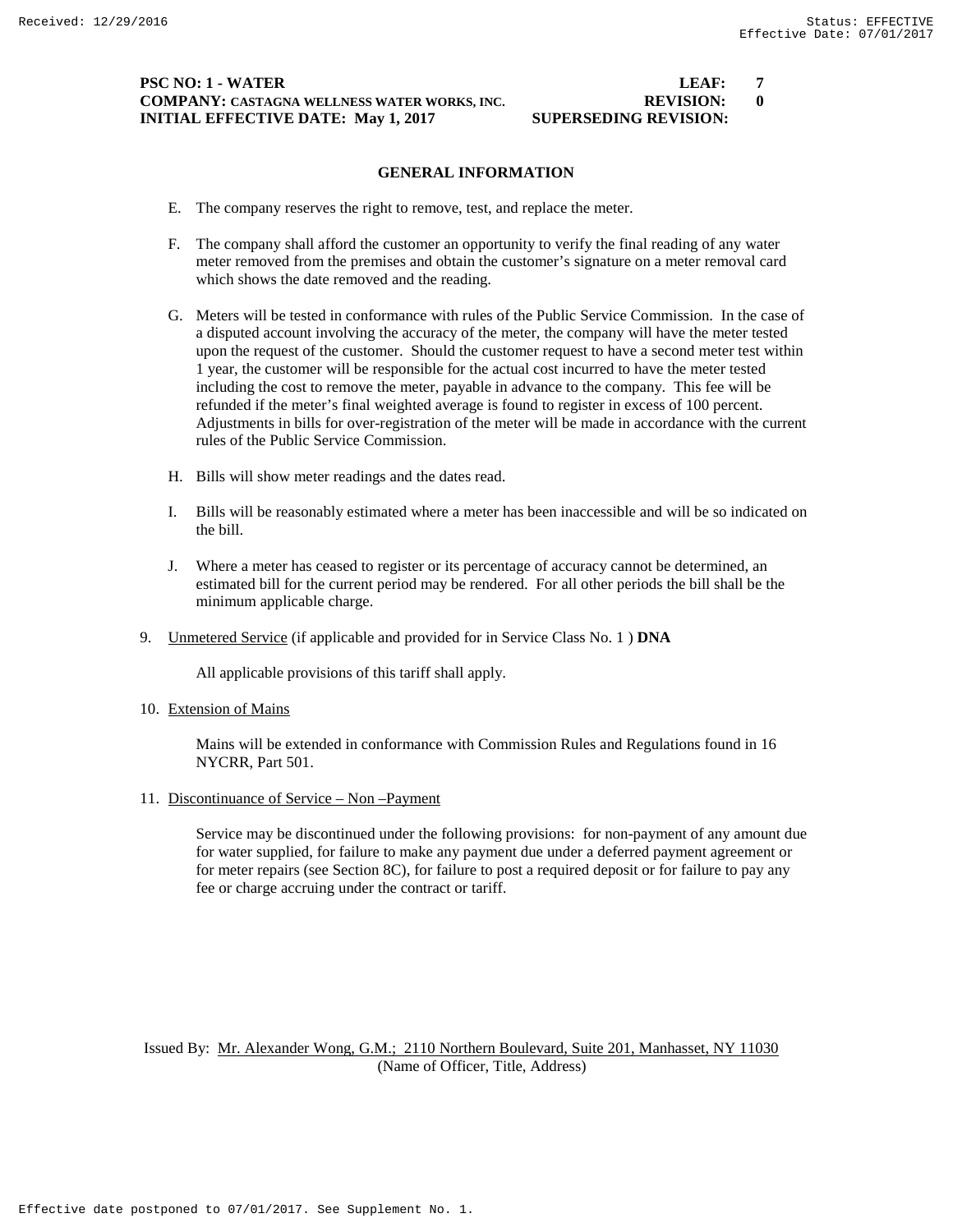#### **PSC NO: 1 - WATER LEAF: 7 COMPANY: CASTAGNA WELLNESS WATER WORKS, INC. REVISION: 0 INITIAL EFFECTIVE DATE: May 1, 2017 SUPERSEDING REVISION:**

#### **GENERAL INFORMATION**

- E. The company reserves the right to remove, test, and replace the meter.
- F. The company shall afford the customer an opportunity to verify the final reading of any water meter removed from the premises and obtain the customer's signature on a meter removal card which shows the date removed and the reading.
- G. Meters will be tested in conformance with rules of the Public Service Commission. In the case of a disputed account involving the accuracy of the meter, the company will have the meter tested upon the request of the customer. Should the customer request to have a second meter test within 1 year, the customer will be responsible for the actual cost incurred to have the meter tested including the cost to remove the meter, payable in advance to the company. This fee will be refunded if the meter's final weighted average is found to register in excess of 100 percent. Adjustments in bills for over-registration of the meter will be made in accordance with the current rules of the Public Service Commission.
- H. Bills will show meter readings and the dates read.
- I. Bills will be reasonably estimated where a meter has been inaccessible and will be so indicated on the bill.
- J. Where a meter has ceased to register or its percentage of accuracy cannot be determined, an estimated bill for the current period may be rendered. For all other periods the bill shall be the minimum applicable charge.
- 9. Unmetered Service (if applicable and provided for in Service Class No. 1 ) **DNA**

All applicable provisions of this tariff shall apply.

10. Extension of Mains

Mains will be extended in conformance with Commission Rules and Regulations found in 16 NYCRR, Part 501.

11. Discontinuance of Service – Non –Payment

Service may be discontinued under the following provisions: for non-payment of any amount due for water supplied, for failure to make any payment due under a deferred payment agreement or for meter repairs (see Section 8C), for failure to post a required deposit or for failure to pay any fee or charge accruing under the contract or tariff.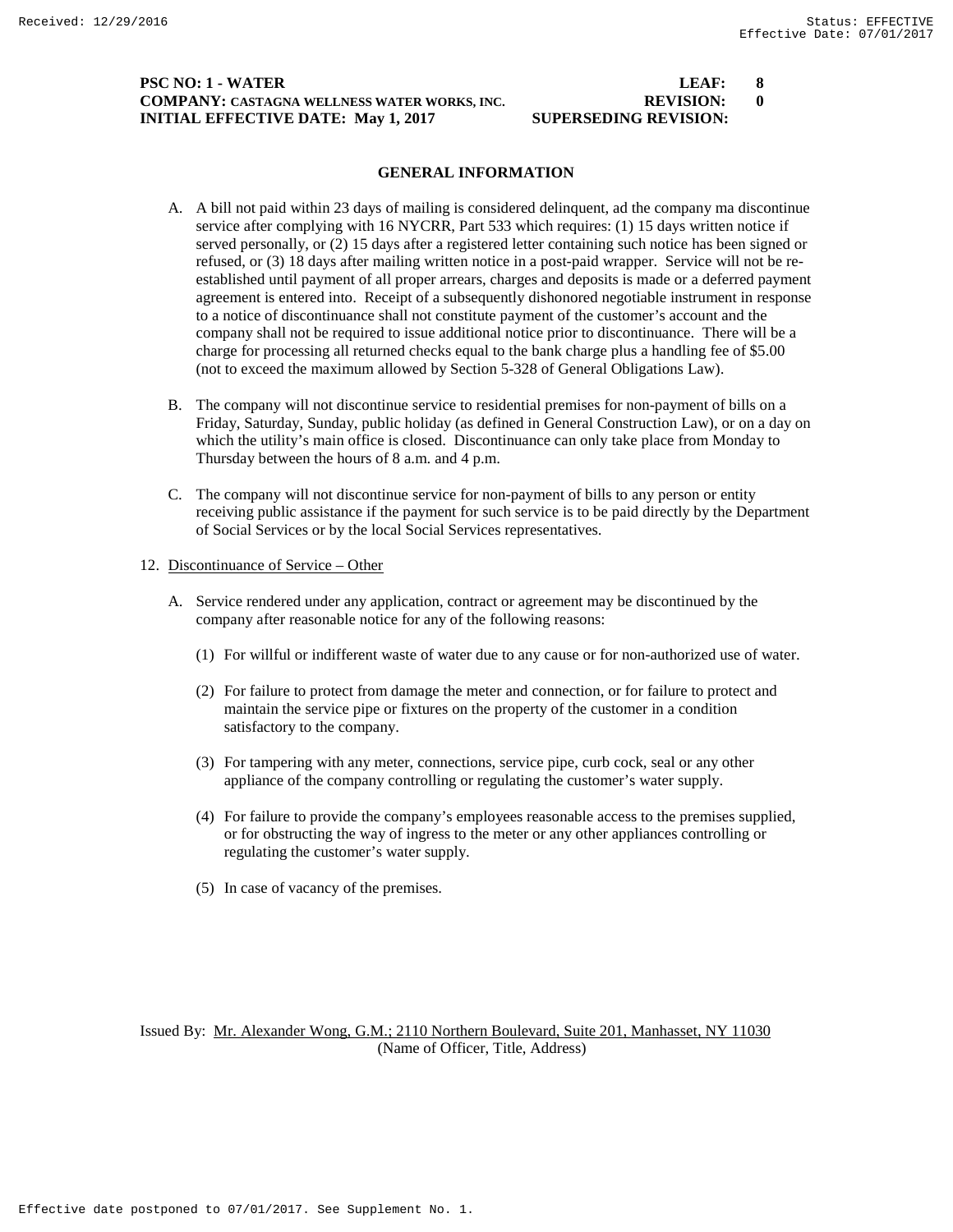### **PSC NO: 1 - WATER LEAF: 8 COMPANY: CASTAGNA WELLNESS WATER WORKS, INC. REVISION: 0 INITIAL EFFECTIVE DATE: May 1, 2017 SUPERSEDING REVISION:**

### **GENERAL INFORMATION**

- A. A bill not paid within 23 days of mailing is considered delinquent, ad the company ma discontinue service after complying with 16 NYCRR, Part 533 which requires: (1) 15 days written notice if served personally, or (2) 15 days after a registered letter containing such notice has been signed or refused, or (3) 18 days after mailing written notice in a post-paid wrapper. Service will not be reestablished until payment of all proper arrears, charges and deposits is made or a deferred payment agreement is entered into. Receipt of a subsequently dishonored negotiable instrument in response to a notice of discontinuance shall not constitute payment of the customer's account and the company shall not be required to issue additional notice prior to discontinuance. There will be a charge for processing all returned checks equal to the bank charge plus a handling fee of \$5.00 (not to exceed the maximum allowed by Section 5-328 of General Obligations Law).
- B. The company will not discontinue service to residential premises for non-payment of bills on a Friday, Saturday, Sunday, public holiday (as defined in General Construction Law), or on a day on which the utility's main office is closed. Discontinuance can only take place from Monday to Thursday between the hours of 8 a.m. and 4 p.m.
- C. The company will not discontinue service for non-payment of bills to any person or entity receiving public assistance if the payment for such service is to be paid directly by the Department of Social Services or by the local Social Services representatives.

#### 12. Discontinuance of Service – Other

- A. Service rendered under any application, contract or agreement may be discontinued by the company after reasonable notice for any of the following reasons:
	- (1) For willful or indifferent waste of water due to any cause or for non-authorized use of water.
	- (2) For failure to protect from damage the meter and connection, or for failure to protect and maintain the service pipe or fixtures on the property of the customer in a condition satisfactory to the company.
	- (3) For tampering with any meter, connections, service pipe, curb cock, seal or any other appliance of the company controlling or regulating the customer's water supply.
	- (4) For failure to provide the company's employees reasonable access to the premises supplied, or for obstructing the way of ingress to the meter or any other appliances controlling or regulating the customer's water supply.
	- (5) In case of vacancy of the premises.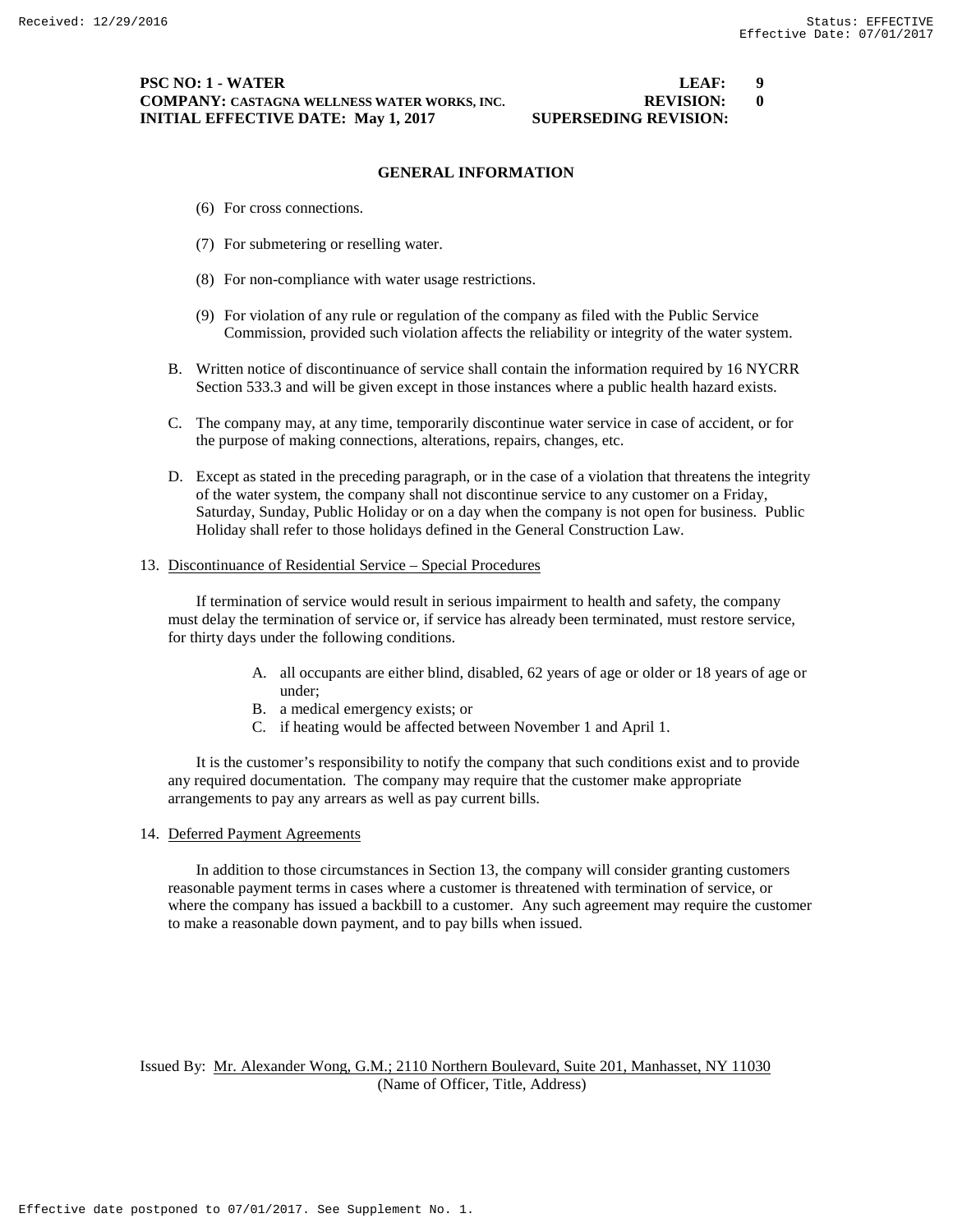#### **PSC NO: 1 - WATER LEAF: 9 COMPANY: CASTAGNA WELLNESS WATER WORKS, INC. REVISION: 0 INITIAL EFFECTIVE DATE: May 1, 2017 SUPERSEDING REVISION:**

#### **GENERAL INFORMATION**

- (6) For cross connections.
- (7) For submetering or reselling water.
- (8) For non-compliance with water usage restrictions.
- (9) For violation of any rule or regulation of the company as filed with the Public Service Commission, provided such violation affects the reliability or integrity of the water system.
- B. Written notice of discontinuance of service shall contain the information required by 16 NYCRR Section 533.3 and will be given except in those instances where a public health hazard exists.
- C. The company may, at any time, temporarily discontinue water service in case of accident, or for the purpose of making connections, alterations, repairs, changes, etc.
- D. Except as stated in the preceding paragraph, or in the case of a violation that threatens the integrity of the water system, the company shall not discontinue service to any customer on a Friday, Saturday, Sunday, Public Holiday or on a day when the company is not open for business. Public Holiday shall refer to those holidays defined in the General Construction Law.

#### 13. Discontinuance of Residential Service – Special Procedures

If termination of service would result in serious impairment to health and safety, the company must delay the termination of service or, if service has already been terminated, must restore service, for thirty days under the following conditions.

- A. all occupants are either blind, disabled, 62 years of age or older or 18 years of age or under;
- B. a medical emergency exists; or
- C. if heating would be affected between November 1 and April 1.

It is the customer's responsibility to notify the company that such conditions exist and to provide any required documentation. The company may require that the customer make appropriate arrangements to pay any arrears as well as pay current bills.

14. Deferred Payment Agreements

In addition to those circumstances in Section 13, the company will consider granting customers reasonable payment terms in cases where a customer is threatened with termination of service, or where the company has issued a backbill to a customer. Any such agreement may require the customer to make a reasonable down payment, and to pay bills when issued.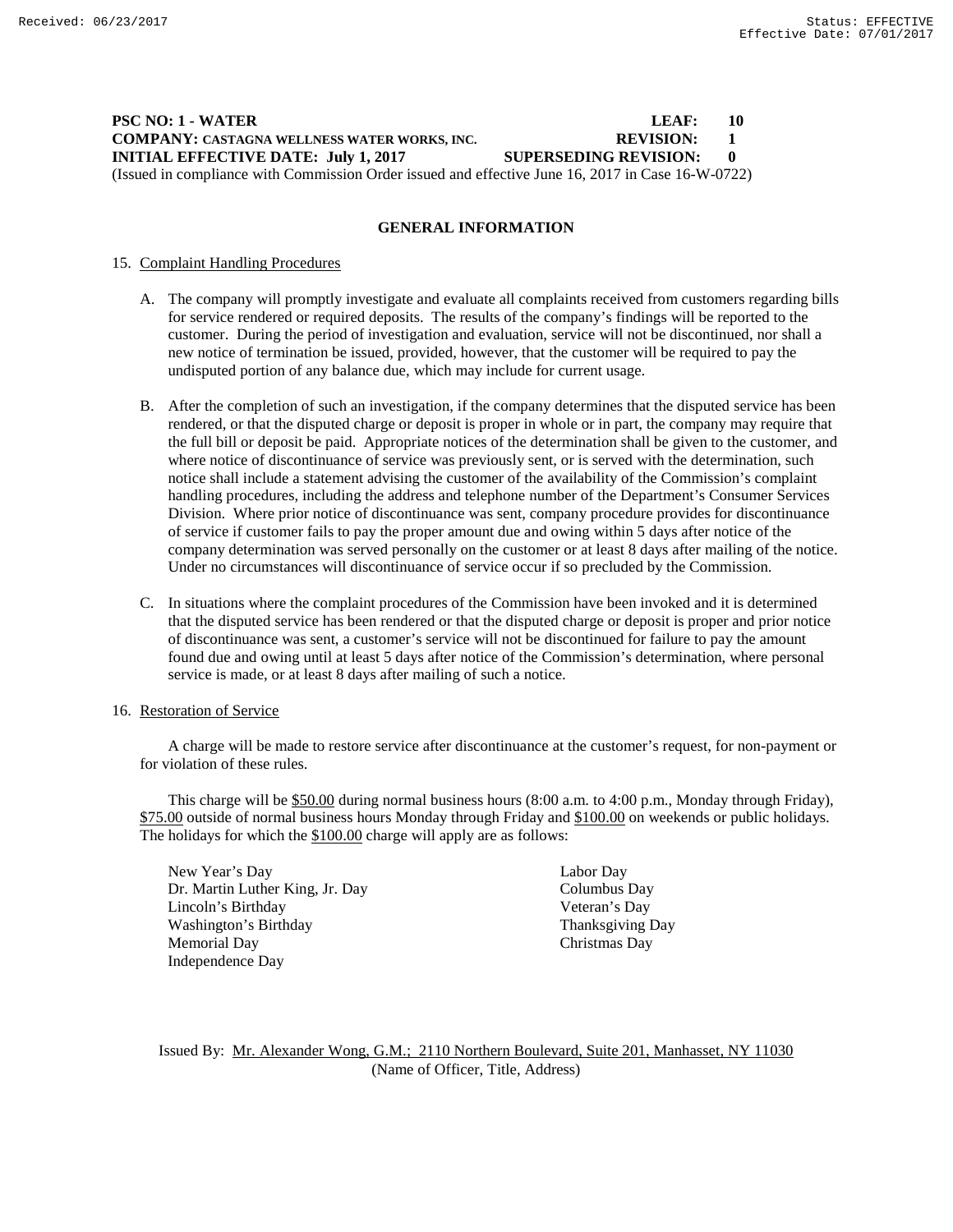### **PSC NO: 1 - WATER LEAF: 10 COMPANY: CASTAGNA WELLNESS WATER WORKS, INC. REVISION: 1 INITIAL EFFECTIVE DATE: July 1, 2017 SUPERSEDING REVISION: 0** (Issued in compliance with Commission Order issued and effective June 16, 2017 in Case 16-W-0722)

**GENERAL INFORMATION**

#### 15. Complaint Handling Procedures

- A. The company will promptly investigate and evaluate all complaints received from customers regarding bills for service rendered or required deposits. The results of the company's findings will be reported to the customer. During the period of investigation and evaluation, service will not be discontinued, nor shall a new notice of termination be issued, provided, however, that the customer will be required to pay the undisputed portion of any balance due, which may include for current usage.
- B. After the completion of such an investigation, if the company determines that the disputed service has been rendered, or that the disputed charge or deposit is proper in whole or in part, the company may require that the full bill or deposit be paid. Appropriate notices of the determination shall be given to the customer, and where notice of discontinuance of service was previously sent, or is served with the determination, such notice shall include a statement advising the customer of the availability of the Commission's complaint handling procedures, including the address and telephone number of the Department's Consumer Services Division. Where prior notice of discontinuance was sent, company procedure provides for discontinuance of service if customer fails to pay the proper amount due and owing within 5 days after notice of the company determination was served personally on the customer or at least 8 days after mailing of the notice. Under no circumstances will discontinuance of service occur if so precluded by the Commission.
- C. In situations where the complaint procedures of the Commission have been invoked and it is determined that the disputed service has been rendered or that the disputed charge or deposit is proper and prior notice of discontinuance was sent, a customer's service will not be discontinued for failure to pay the amount found due and owing until at least 5 days after notice of the Commission's determination, where personal service is made, or at least 8 days after mailing of such a notice.

#### 16. Restoration of Service

A charge will be made to restore service after discontinuance at the customer's request, for non-payment or for violation of these rules.

This charge will be \$50.00 during normal business hours (8:00 a.m. to 4:00 p.m., Monday through Friday), \$75.00 outside of normal business hours Monday through Friday and \$100.00 on weekends or public holidays. The holidays for which the \$100.00 charge will apply are as follows:

New Year's Day Labor Day Dr. Martin Luther King, Jr. Day Columbus Day Lincoln's Birthday Veteran's Day<br>
Veteran's Day<br>
Thanksgiving Day Washington's Birthday Memorial Day Christmas Day Independence Day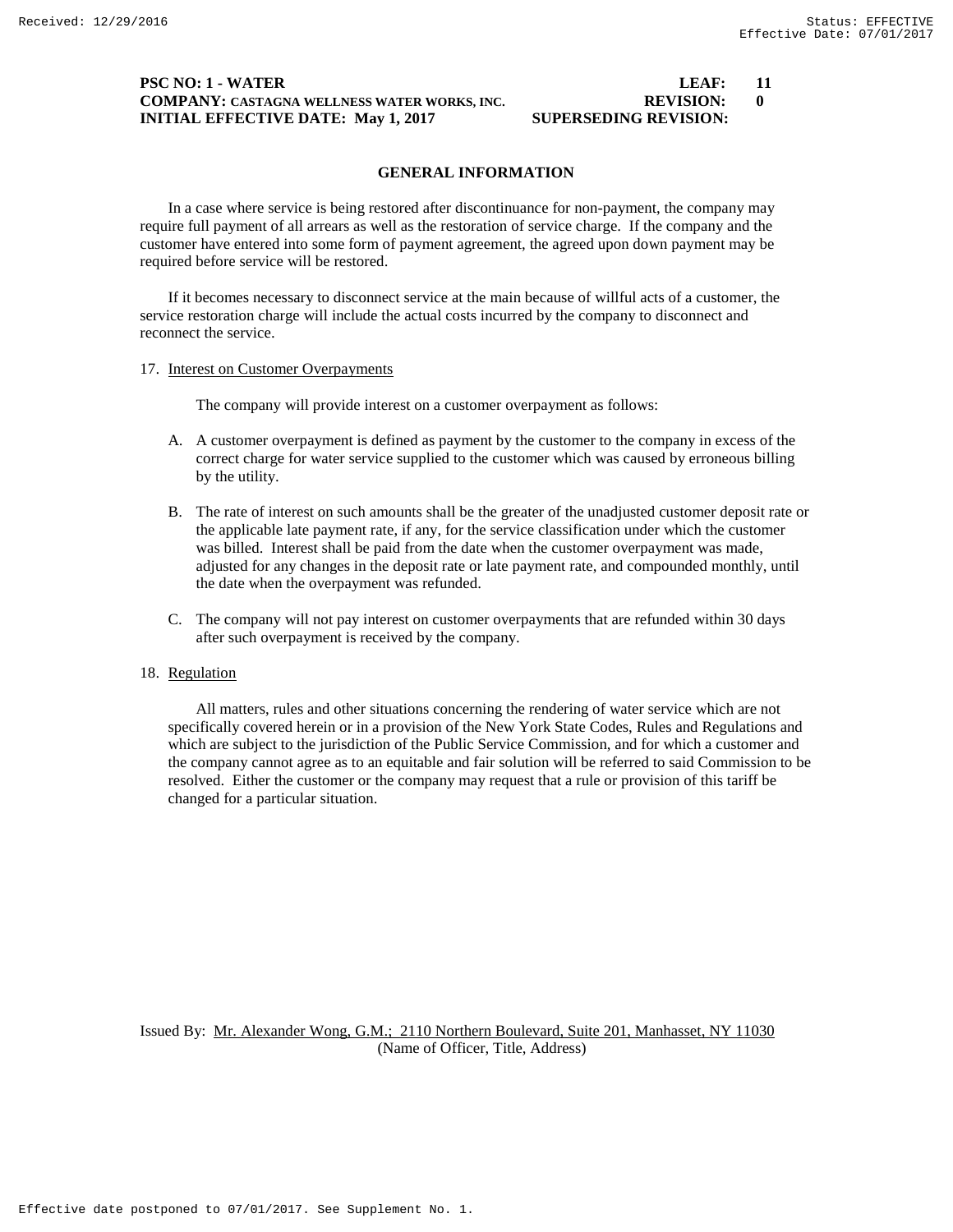#### **PSC NO: 1 - WATER LEAF: 11 COMPANY: CASTAGNA WELLNESS WATER WORKS, INC. REVISION: 0 INITIAL EFFECTIVE DATE: May 1, 2017 SUPERSEDING REVISION:**

# **GENERAL INFORMATION**

In a case where service is being restored after discontinuance for non-payment, the company may require full payment of all arrears as well as the restoration of service charge. If the company and the customer have entered into some form of payment agreement, the agreed upon down payment may be required before service will be restored.

If it becomes necessary to disconnect service at the main because of willful acts of a customer, the service restoration charge will include the actual costs incurred by the company to disconnect and reconnect the service.

#### 17. Interest on Customer Overpayments

The company will provide interest on a customer overpayment as follows:

- A. A customer overpayment is defined as payment by the customer to the company in excess of the correct charge for water service supplied to the customer which was caused by erroneous billing by the utility.
- B. The rate of interest on such amounts shall be the greater of the unadjusted customer deposit rate or the applicable late payment rate, if any, for the service classification under which the customer was billed. Interest shall be paid from the date when the customer overpayment was made, adjusted for any changes in the deposit rate or late payment rate, and compounded monthly, until the date when the overpayment was refunded.
- C. The company will not pay interest on customer overpayments that are refunded within 30 days after such overpayment is received by the company.

#### 18. Regulation

All matters, rules and other situations concerning the rendering of water service which are not specifically covered herein or in a provision of the New York State Codes, Rules and Regulations and which are subject to the jurisdiction of the Public Service Commission, and for which a customer and the company cannot agree as to an equitable and fair solution will be referred to said Commission to be resolved. Either the customer or the company may request that a rule or provision of this tariff be changed for a particular situation.